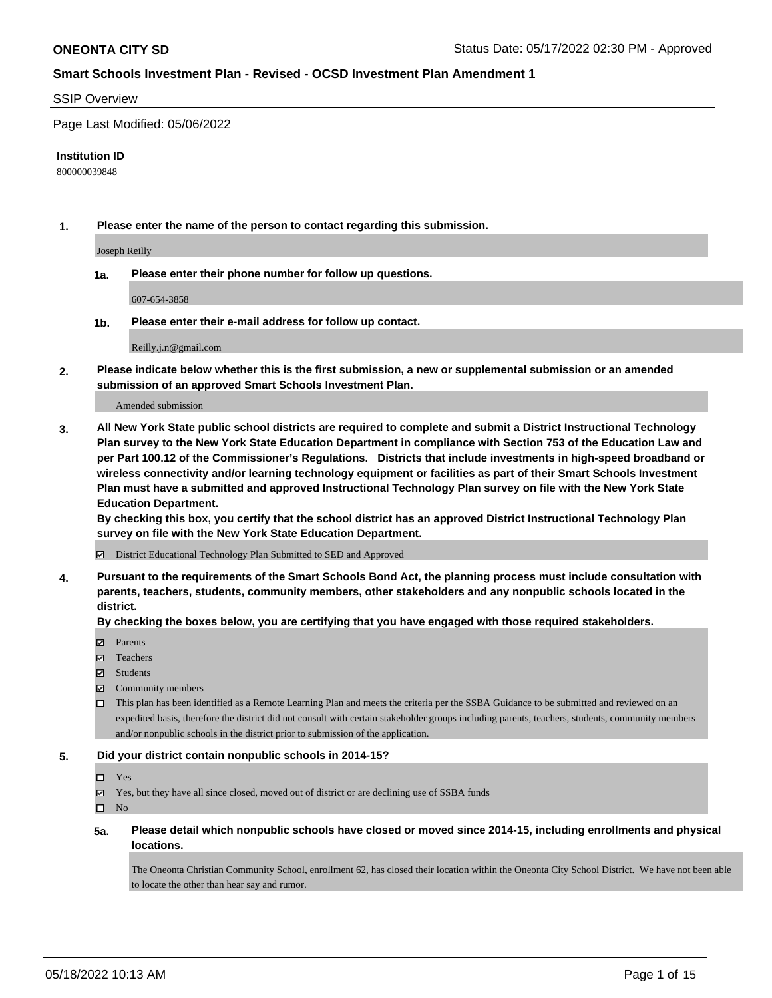#### SSIP Overview

Page Last Modified: 05/06/2022

#### **Institution ID**

800000039848

**1. Please enter the name of the person to contact regarding this submission.**

Joseph Reilly

**1a. Please enter their phone number for follow up questions.**

607-654-3858

**1b. Please enter their e-mail address for follow up contact.**

Reilly.j.n@gmail.com

**2. Please indicate below whether this is the first submission, a new or supplemental submission or an amended submission of an approved Smart Schools Investment Plan.**

Amended submission

**3. All New York State public school districts are required to complete and submit a District Instructional Technology Plan survey to the New York State Education Department in compliance with Section 753 of the Education Law and per Part 100.12 of the Commissioner's Regulations. Districts that include investments in high-speed broadband or wireless connectivity and/or learning technology equipment or facilities as part of their Smart Schools Investment Plan must have a submitted and approved Instructional Technology Plan survey on file with the New York State Education Department.** 

**By checking this box, you certify that the school district has an approved District Instructional Technology Plan survey on file with the New York State Education Department.**

District Educational Technology Plan Submitted to SED and Approved

**4. Pursuant to the requirements of the Smart Schools Bond Act, the planning process must include consultation with parents, teachers, students, community members, other stakeholders and any nonpublic schools located in the district.** 

**By checking the boxes below, you are certifying that you have engaged with those required stakeholders.**

- $\blacksquare$  Parents
- Teachers
- Students
- $\Xi$  Community members
- This plan has been identified as a Remote Learning Plan and meets the criteria per the SSBA Guidance to be submitted and reviewed on an expedited basis, therefore the district did not consult with certain stakeholder groups including parents, teachers, students, community members and/or nonpublic schools in the district prior to submission of the application.

#### **5. Did your district contain nonpublic schools in 2014-15?**

#### Yes

 $\boxtimes$  Yes, but they have all since closed, moved out of district or are declining use of SSBA funds

 $\square$  No

**5a. Please detail which nonpublic schools have closed or moved since 2014-15, including enrollments and physical locations.**

The Oneonta Christian Community School, enrollment 62, has closed their location within the Oneonta City School District. We have not been able to locate the other than hear say and rumor.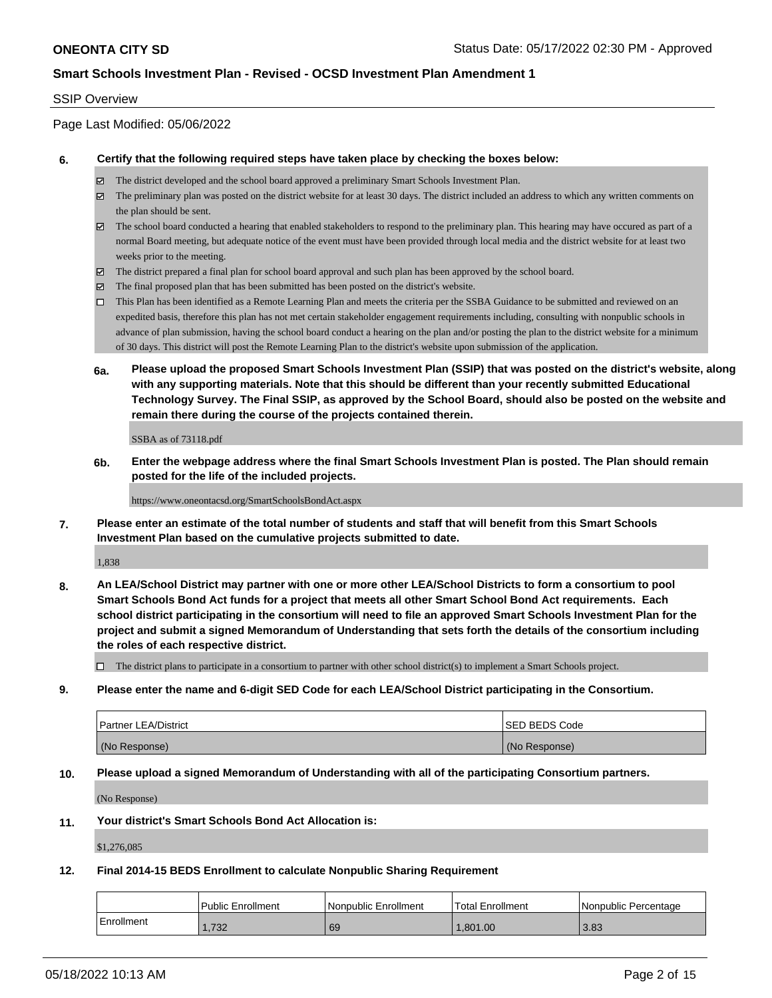### SSIP Overview

Page Last Modified: 05/06/2022

### **6. Certify that the following required steps have taken place by checking the boxes below:**

- The district developed and the school board approved a preliminary Smart Schools Investment Plan.
- $\boxtimes$  The preliminary plan was posted on the district website for at least 30 days. The district included an address to which any written comments on the plan should be sent.
- $\boxtimes$  The school board conducted a hearing that enabled stakeholders to respond to the preliminary plan. This hearing may have occured as part of a normal Board meeting, but adequate notice of the event must have been provided through local media and the district website for at least two weeks prior to the meeting.
- The district prepared a final plan for school board approval and such plan has been approved by the school board.
- $\boxtimes$  The final proposed plan that has been submitted has been posted on the district's website.
- This Plan has been identified as a Remote Learning Plan and meets the criteria per the SSBA Guidance to be submitted and reviewed on an expedited basis, therefore this plan has not met certain stakeholder engagement requirements including, consulting with nonpublic schools in advance of plan submission, having the school board conduct a hearing on the plan and/or posting the plan to the district website for a minimum of 30 days. This district will post the Remote Learning Plan to the district's website upon submission of the application.
- **6a. Please upload the proposed Smart Schools Investment Plan (SSIP) that was posted on the district's website, along with any supporting materials. Note that this should be different than your recently submitted Educational Technology Survey. The Final SSIP, as approved by the School Board, should also be posted on the website and remain there during the course of the projects contained therein.**

SSBA as of 73118.pdf

**6b. Enter the webpage address where the final Smart Schools Investment Plan is posted. The Plan should remain posted for the life of the included projects.**

#### https://www.oneontacsd.org/SmartSchoolsBondAct.aspx

**7. Please enter an estimate of the total number of students and staff that will benefit from this Smart Schools Investment Plan based on the cumulative projects submitted to date.**

1,838

**8. An LEA/School District may partner with one or more other LEA/School Districts to form a consortium to pool Smart Schools Bond Act funds for a project that meets all other Smart School Bond Act requirements. Each school district participating in the consortium will need to file an approved Smart Schools Investment Plan for the project and submit a signed Memorandum of Understanding that sets forth the details of the consortium including the roles of each respective district.**

 $\Box$  The district plans to participate in a consortium to partner with other school district(s) to implement a Smart Schools project.

**9. Please enter the name and 6-digit SED Code for each LEA/School District participating in the Consortium.**

| <b>Partner LEA/District</b> | <b>ISED BEDS Code</b> |
|-----------------------------|-----------------------|
| (No Response)               | (No Response)         |

### **10. Please upload a signed Memorandum of Understanding with all of the participating Consortium partners.**

(No Response)

#### **11. Your district's Smart Schools Bond Act Allocation is:**

\$1,276,085

### **12. Final 2014-15 BEDS Enrollment to calculate Nonpublic Sharing Requirement**

|            | <b>Public Enrollment</b> | l Nonpublic Enrollment | <b>Total Enrollment</b> | l Nonpublic Percentage |
|------------|--------------------------|------------------------|-------------------------|------------------------|
| Enrollment | .732                     | 69                     | .801.00                 | 3.83                   |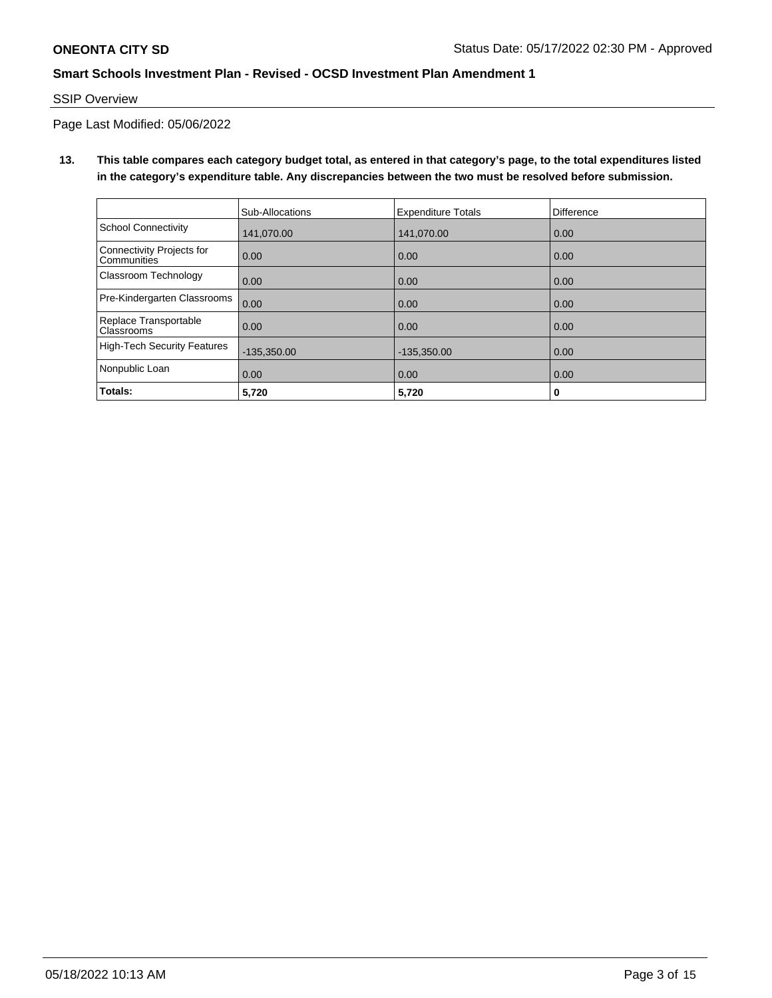## SSIP Overview

Page Last Modified: 05/06/2022

**13. This table compares each category budget total, as entered in that category's page, to the total expenditures listed in the category's expenditure table. Any discrepancies between the two must be resolved before submission.**

|                                            | Sub-Allocations | <b>Expenditure Totals</b> | <b>Difference</b> |
|--------------------------------------------|-----------------|---------------------------|-------------------|
| <b>School Connectivity</b>                 | 141.070.00      | 141,070.00                | 0.00              |
| Connectivity Projects for<br>Communities   | 0.00            | 0.00                      | 0.00              |
| Classroom Technology                       | 0.00            | 0.00                      | 0.00              |
| Pre-Kindergarten Classrooms                | 0.00            | 0.00                      | 0.00              |
| Replace Transportable<br><b>Classrooms</b> | 0.00            | 0.00                      | 0.00              |
| <b>High-Tech Security Features</b>         | $-135,350.00$   | $-135,350.00$             | 0.00              |
| Nonpublic Loan                             | 0.00            | 0.00                      | 0.00              |
| Totals:                                    | 5,720           | 5,720                     | 0                 |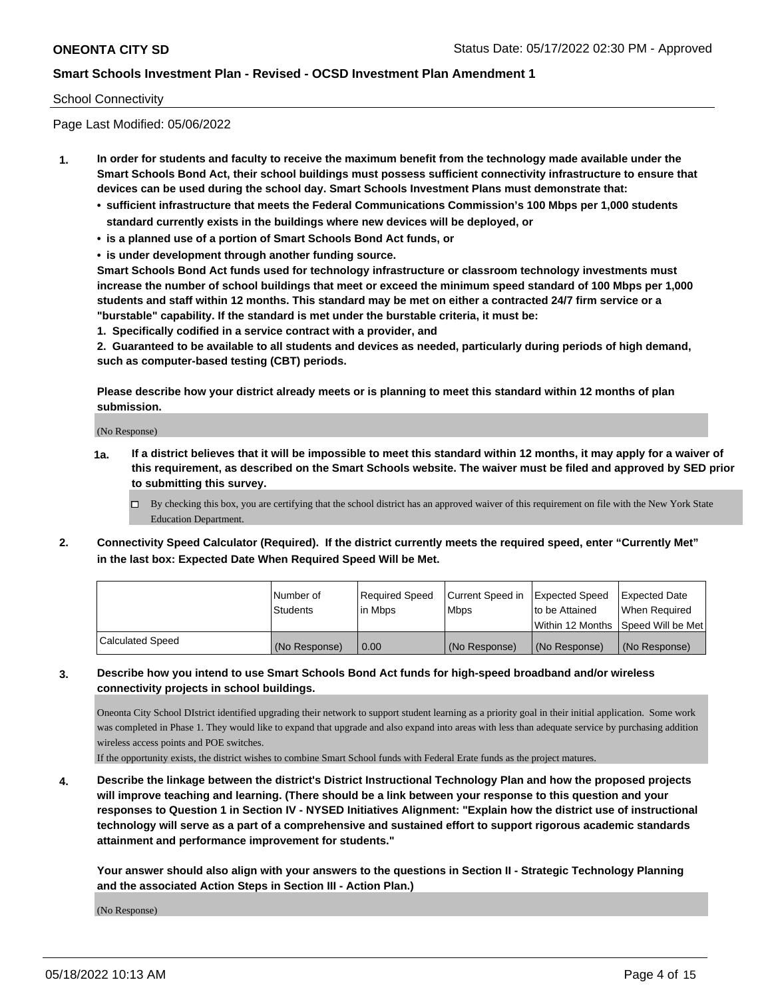### School Connectivity

Page Last Modified: 05/06/2022

- **1. In order for students and faculty to receive the maximum benefit from the technology made available under the Smart Schools Bond Act, their school buildings must possess sufficient connectivity infrastructure to ensure that devices can be used during the school day. Smart Schools Investment Plans must demonstrate that:**
	- **• sufficient infrastructure that meets the Federal Communications Commission's 100 Mbps per 1,000 students standard currently exists in the buildings where new devices will be deployed, or**
	- **• is a planned use of a portion of Smart Schools Bond Act funds, or**
	- **• is under development through another funding source.**

**Smart Schools Bond Act funds used for technology infrastructure or classroom technology investments must increase the number of school buildings that meet or exceed the minimum speed standard of 100 Mbps per 1,000 students and staff within 12 months. This standard may be met on either a contracted 24/7 firm service or a "burstable" capability. If the standard is met under the burstable criteria, it must be:**

**1. Specifically codified in a service contract with a provider, and**

**2. Guaranteed to be available to all students and devices as needed, particularly during periods of high demand, such as computer-based testing (CBT) periods.**

**Please describe how your district already meets or is planning to meet this standard within 12 months of plan submission.**

(No Response)

- **1a. If a district believes that it will be impossible to meet this standard within 12 months, it may apply for a waiver of this requirement, as described on the Smart Schools website. The waiver must be filed and approved by SED prior to submitting this survey.**
	- By checking this box, you are certifying that the school district has an approved waiver of this requirement on file with the New York State Education Department.
- **2. Connectivity Speed Calculator (Required). If the district currently meets the required speed, enter "Currently Met" in the last box: Expected Date When Required Speed Will be Met.**

|                         | l Number of     | Required Speed | Current Speed in   Expected Speed |                                      | Expected Date |
|-------------------------|-----------------|----------------|-----------------------------------|--------------------------------------|---------------|
|                         | <b>Students</b> | lin Mbps       | <b>Mbps</b>                       | to be Attained                       | When Required |
|                         |                 |                |                                   | Within 12 Months   Speed Will be Met |               |
| <b>Calculated Speed</b> | (No Response)   | 0.00           | (No Response)                     | (No Response)                        | (No Response) |

## **3. Describe how you intend to use Smart Schools Bond Act funds for high-speed broadband and/or wireless connectivity projects in school buildings.**

Oneonta City School DIstrict identified upgrading their network to support student learning as a priority goal in their initial application. Some work was completed in Phase 1. They would like to expand that upgrade and also expand into areas with less than adequate service by purchasing addition wireless access points and POE switches.

If the opportunity exists, the district wishes to combine Smart School funds with Federal Erate funds as the project matures.

**4. Describe the linkage between the district's District Instructional Technology Plan and how the proposed projects will improve teaching and learning. (There should be a link between your response to this question and your responses to Question 1 in Section IV - NYSED Initiatives Alignment: "Explain how the district use of instructional technology will serve as a part of a comprehensive and sustained effort to support rigorous academic standards attainment and performance improvement for students."** 

**Your answer should also align with your answers to the questions in Section II - Strategic Technology Planning and the associated Action Steps in Section III - Action Plan.)**

(No Response)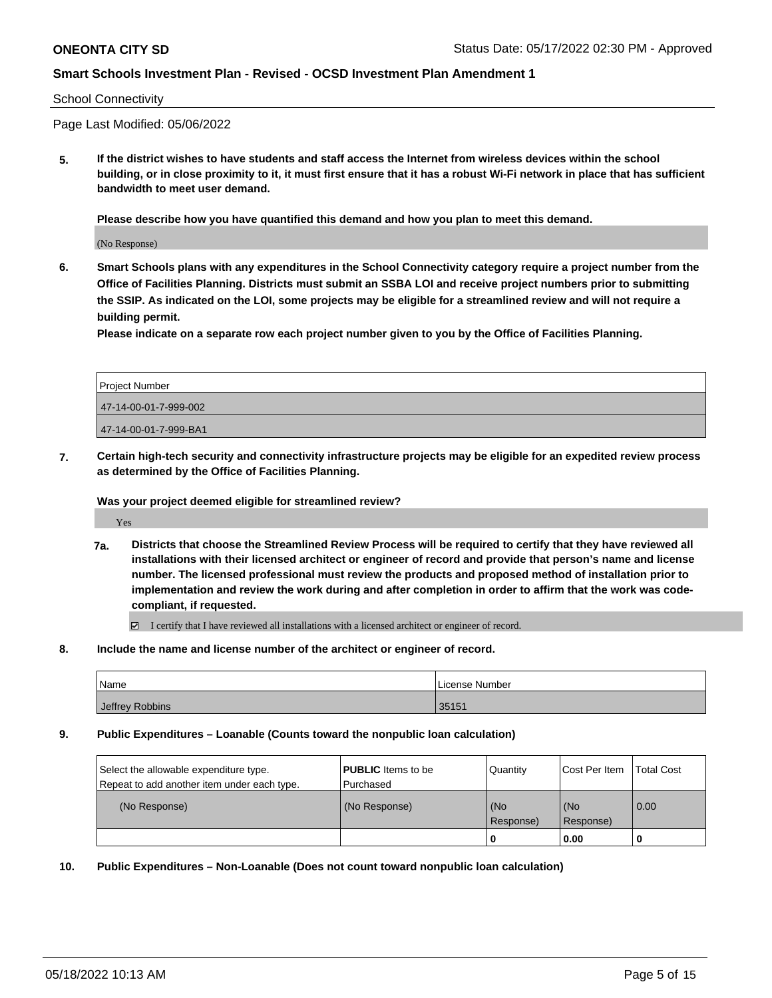#### School Connectivity

Page Last Modified: 05/06/2022

**5. If the district wishes to have students and staff access the Internet from wireless devices within the school building, or in close proximity to it, it must first ensure that it has a robust Wi-Fi network in place that has sufficient bandwidth to meet user demand.**

**Please describe how you have quantified this demand and how you plan to meet this demand.**

(No Response)

**6. Smart Schools plans with any expenditures in the School Connectivity category require a project number from the Office of Facilities Planning. Districts must submit an SSBA LOI and receive project numbers prior to submitting the SSIP. As indicated on the LOI, some projects may be eligible for a streamlined review and will not require a building permit.**

**Please indicate on a separate row each project number given to you by the Office of Facilities Planning.**

| Project Number        |
|-----------------------|
| 47-14-00-01-7-999-002 |
| 47-14-00-01-7-999-BA1 |

**7. Certain high-tech security and connectivity infrastructure projects may be eligible for an expedited review process as determined by the Office of Facilities Planning.**

**Was your project deemed eligible for streamlined review?**

Yes

**7a. Districts that choose the Streamlined Review Process will be required to certify that they have reviewed all installations with their licensed architect or engineer of record and provide that person's name and license number. The licensed professional must review the products and proposed method of installation prior to implementation and review the work during and after completion in order to affirm that the work was codecompliant, if requested.**

I certify that I have reviewed all installations with a licensed architect or engineer of record.

**8. Include the name and license number of the architect or engineer of record.**

| Name            | License Number |
|-----------------|----------------|
| Jeffrey Robbins | 35151          |

**9. Public Expenditures – Loanable (Counts toward the nonpublic loan calculation)**

| Select the allowable expenditure type.      | <b>PUBLIC</b> Items to be | Quantity         | Cost Per Item    | <b>Total Cost</b> |
|---------------------------------------------|---------------------------|------------------|------------------|-------------------|
| Repeat to add another item under each type. | l Purchased               |                  |                  |                   |
| (No Response)                               | (No Response)             | (No<br>Response) | (No<br>Response) | 0.00              |
|                                             |                           |                  | 0.00             |                   |

**10. Public Expenditures – Non-Loanable (Does not count toward nonpublic loan calculation)**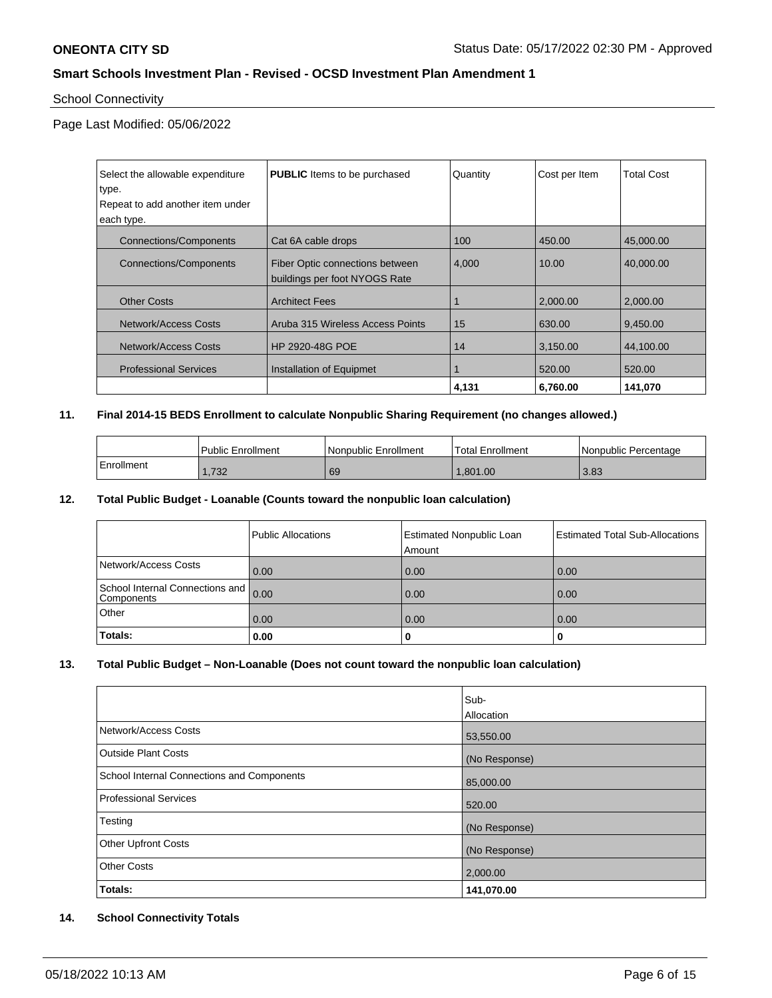## School Connectivity

Page Last Modified: 05/06/2022

| Select the allowable expenditure<br>type.<br>Repeat to add another item under<br>each type. | <b>PUBLIC</b> Items to be purchased                              | Quantity | Cost per Item | <b>Total Cost</b> |
|---------------------------------------------------------------------------------------------|------------------------------------------------------------------|----------|---------------|-------------------|
|                                                                                             |                                                                  |          |               |                   |
| <b>Connections/Components</b>                                                               | Cat 6A cable drops                                               | 100      | 450.00        | 45,000,00         |
| <b>Connections/Components</b>                                                               | Fiber Optic connections between<br>buildings per foot NYOGS Rate | 4,000    | 10.00         | 40.000.00         |
| <b>Other Costs</b>                                                                          | <b>Architect Fees</b>                                            |          | 2,000.00      | 2,000.00          |
| Network/Access Costs                                                                        | Aruba 315 Wireless Access Points                                 | 15       | 630.00        | 9,450.00          |
| Network/Access Costs                                                                        | <b>HP 2920-48G POE</b>                                           | 14       | 3,150.00      | 44,100.00         |
| <b>Professional Services</b>                                                                | Installation of Equipmet                                         |          | 520.00        | 520.00            |
|                                                                                             |                                                                  | 4,131    | 6.760.00      | 141,070           |

### **11. Final 2014-15 BEDS Enrollment to calculate Nonpublic Sharing Requirement (no changes allowed.)**

|            | Public Enrollment | Nonpublic Enrollment | 'Total Enrollment | l Nonpublic Percentage |
|------------|-------------------|----------------------|-------------------|------------------------|
| Enrollment | 722<br>∠د ، ، ا   | 69                   | .801.00           | 3.83                   |

### **12. Total Public Budget - Loanable (Counts toward the nonpublic loan calculation)**

|                                               | Public Allocations | <b>Estimated Nonpublic Loan</b><br>Amount | <b>Estimated Total Sub-Allocations</b> |
|-----------------------------------------------|--------------------|-------------------------------------------|----------------------------------------|
| Network/Access Costs                          | 0.00               | 0.00                                      | 0.00                                   |
| School Internal Connections and<br>Components | 0.00               | 0.00                                      | 0.00                                   |
| Other                                         | 0.00               | 0.00                                      | 0.00                                   |
| Totals:                                       | 0.00               | υ                                         | 0                                      |

### **13. Total Public Budget – Non-Loanable (Does not count toward the nonpublic loan calculation)**

|                                            | Sub-<br>Allocation |
|--------------------------------------------|--------------------|
| Network/Access Costs                       | 53,550.00          |
| Outside Plant Costs                        | (No Response)      |
| School Internal Connections and Components | 85,000.00          |
| Professional Services                      | 520.00             |
| Testing                                    | (No Response)      |
| Other Upfront Costs                        | (No Response)      |
| <b>Other Costs</b>                         | 2,000.00           |
| Totals:                                    | 141,070.00         |

### **14. School Connectivity Totals**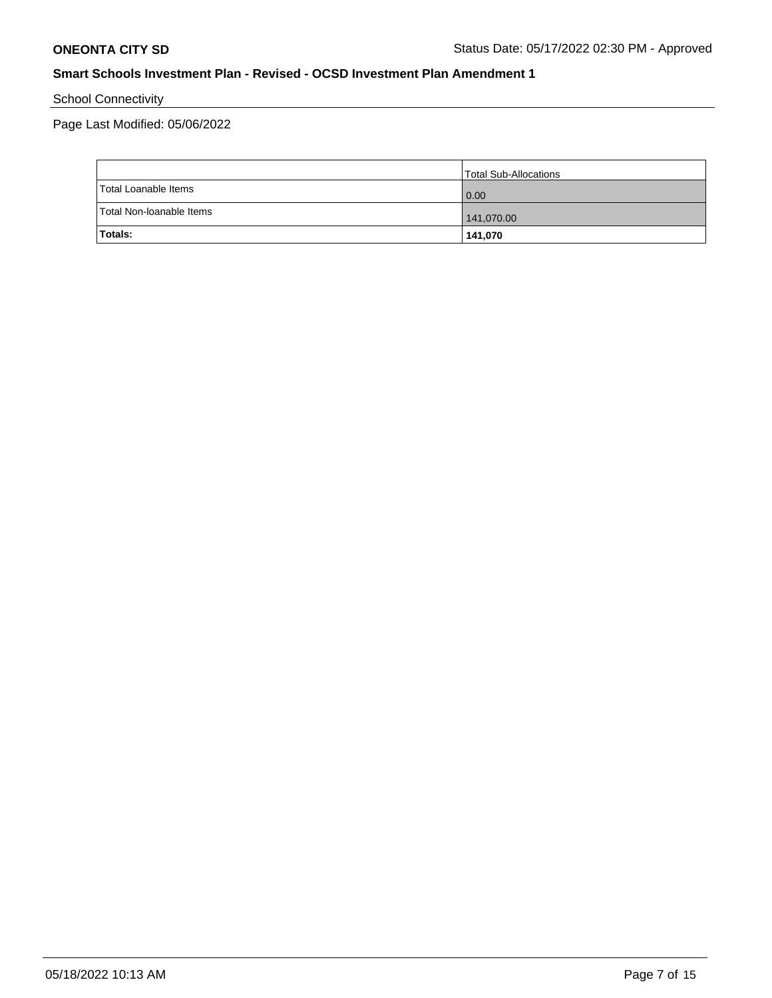School Connectivity

Page Last Modified: 05/06/2022

|                          | Total Sub-Allocations |
|--------------------------|-----------------------|
| Total Loanable Items     | 0.00                  |
| Total Non-Ioanable Items | 141,070.00            |
| Totals:                  | 141,070               |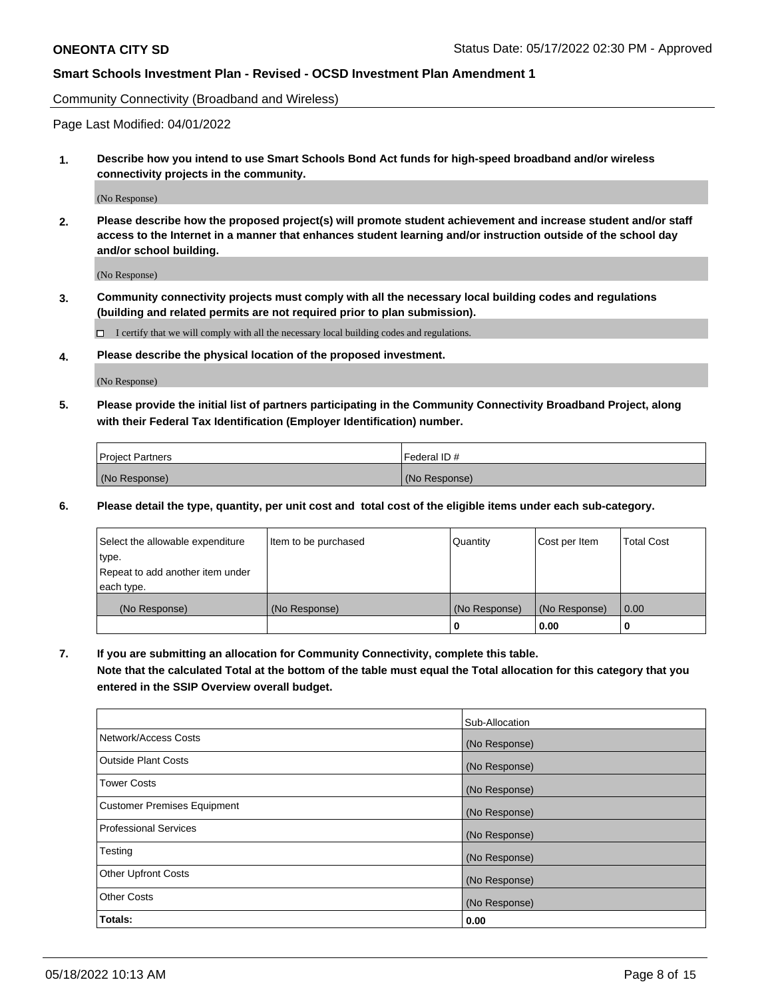Community Connectivity (Broadband and Wireless)

Page Last Modified: 04/01/2022

**1. Describe how you intend to use Smart Schools Bond Act funds for high-speed broadband and/or wireless connectivity projects in the community.**

(No Response)

**2. Please describe how the proposed project(s) will promote student achievement and increase student and/or staff access to the Internet in a manner that enhances student learning and/or instruction outside of the school day and/or school building.**

(No Response)

**3. Community connectivity projects must comply with all the necessary local building codes and regulations (building and related permits are not required prior to plan submission).**

 $\Box$  I certify that we will comply with all the necessary local building codes and regulations.

**4. Please describe the physical location of the proposed investment.**

(No Response)

**5. Please provide the initial list of partners participating in the Community Connectivity Broadband Project, along with their Federal Tax Identification (Employer Identification) number.**

| <b>Project Partners</b> | Federal ID#   |
|-------------------------|---------------|
| (No Response)           | (No Response) |

**6. Please detail the type, quantity, per unit cost and total cost of the eligible items under each sub-category.**

| Select the allowable expenditure          | Item to be purchased | Quantity      | Cost per Item | <b>Total Cost</b> |
|-------------------------------------------|----------------------|---------------|---------------|-------------------|
| type.<br>Repeat to add another item under |                      |               |               |                   |
| each type.                                |                      |               |               |                   |
| (No Response)                             | (No Response)        | (No Response) | (No Response) | 0.00              |
|                                           |                      | 0             | 0.00          |                   |

**7. If you are submitting an allocation for Community Connectivity, complete this table.**

**Note that the calculated Total at the bottom of the table must equal the Total allocation for this category that you entered in the SSIP Overview overall budget.**

|                                    | Sub-Allocation |
|------------------------------------|----------------|
| Network/Access Costs               | (No Response)  |
| Outside Plant Costs                | (No Response)  |
| <b>Tower Costs</b>                 | (No Response)  |
| <b>Customer Premises Equipment</b> | (No Response)  |
| Professional Services              | (No Response)  |
| Testing                            | (No Response)  |
| <b>Other Upfront Costs</b>         | (No Response)  |
| <b>Other Costs</b>                 | (No Response)  |
| Totals:                            | 0.00           |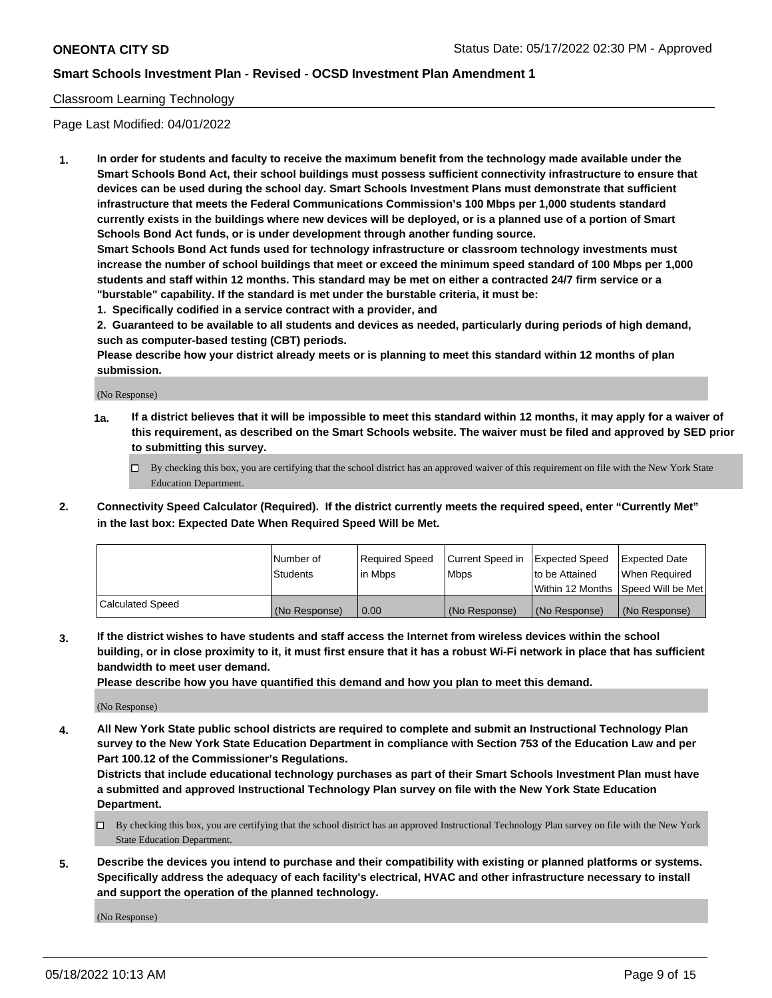### Classroom Learning Technology

Page Last Modified: 04/01/2022

**1. In order for students and faculty to receive the maximum benefit from the technology made available under the Smart Schools Bond Act, their school buildings must possess sufficient connectivity infrastructure to ensure that devices can be used during the school day. Smart Schools Investment Plans must demonstrate that sufficient infrastructure that meets the Federal Communications Commission's 100 Mbps per 1,000 students standard currently exists in the buildings where new devices will be deployed, or is a planned use of a portion of Smart Schools Bond Act funds, or is under development through another funding source.**

**Smart Schools Bond Act funds used for technology infrastructure or classroom technology investments must increase the number of school buildings that meet or exceed the minimum speed standard of 100 Mbps per 1,000 students and staff within 12 months. This standard may be met on either a contracted 24/7 firm service or a "burstable" capability. If the standard is met under the burstable criteria, it must be:**

**1. Specifically codified in a service contract with a provider, and**

**2. Guaranteed to be available to all students and devices as needed, particularly during periods of high demand, such as computer-based testing (CBT) periods.**

**Please describe how your district already meets or is planning to meet this standard within 12 months of plan submission.**

(No Response)

- **1a. If a district believes that it will be impossible to meet this standard within 12 months, it may apply for a waiver of this requirement, as described on the Smart Schools website. The waiver must be filed and approved by SED prior to submitting this survey.**
	- By checking this box, you are certifying that the school district has an approved waiver of this requirement on file with the New York State Education Department.
- **2. Connectivity Speed Calculator (Required). If the district currently meets the required speed, enter "Currently Met" in the last box: Expected Date When Required Speed Will be Met.**

|                  | Number of     | Required Speed | Current Speed in | Expected Speed | Expected Date                           |
|------------------|---------------|----------------|------------------|----------------|-----------------------------------------|
|                  | Students      | lin Mbps       | <b>Mbps</b>      | to be Attained | When Required                           |
|                  |               |                |                  |                | l Within 12 Months ISpeed Will be Met l |
| Calculated Speed | (No Response) | 0.00           | (No Response)    | (No Response)  | (No Response)                           |

**3. If the district wishes to have students and staff access the Internet from wireless devices within the school building, or in close proximity to it, it must first ensure that it has a robust Wi-Fi network in place that has sufficient bandwidth to meet user demand.**

**Please describe how you have quantified this demand and how you plan to meet this demand.**

(No Response)

**4. All New York State public school districts are required to complete and submit an Instructional Technology Plan survey to the New York State Education Department in compliance with Section 753 of the Education Law and per Part 100.12 of the Commissioner's Regulations.**

**Districts that include educational technology purchases as part of their Smart Schools Investment Plan must have a submitted and approved Instructional Technology Plan survey on file with the New York State Education Department.**

- By checking this box, you are certifying that the school district has an approved Instructional Technology Plan survey on file with the New York State Education Department.
- **5. Describe the devices you intend to purchase and their compatibility with existing or planned platforms or systems. Specifically address the adequacy of each facility's electrical, HVAC and other infrastructure necessary to install and support the operation of the planned technology.**

(No Response)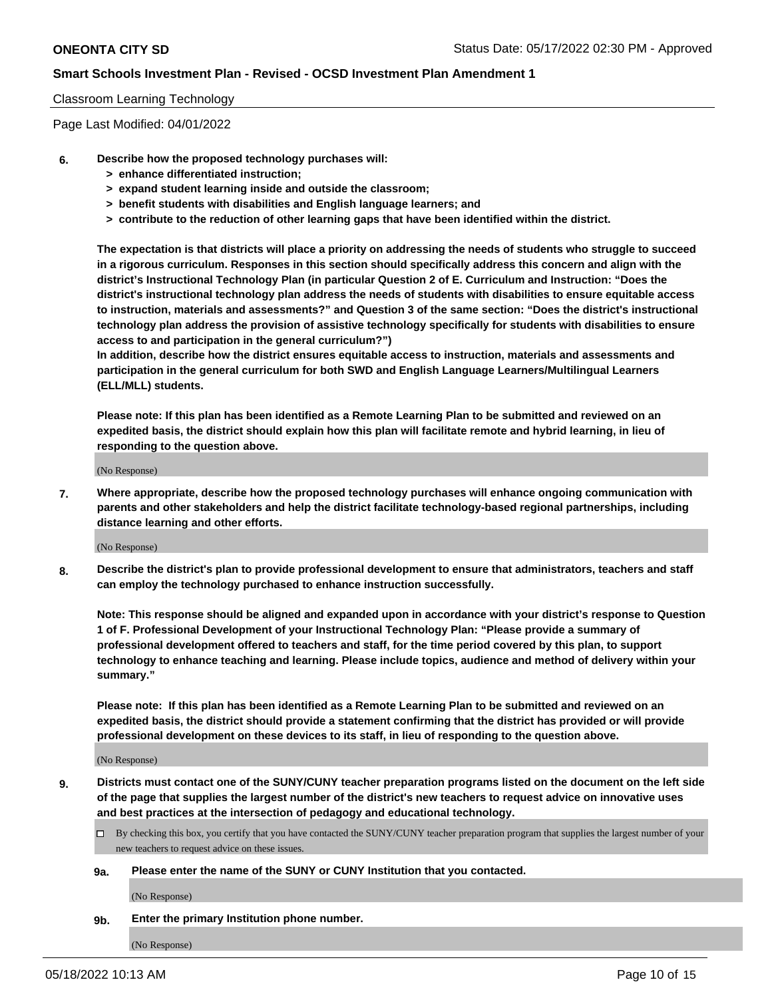### Classroom Learning Technology

Page Last Modified: 04/01/2022

- **6. Describe how the proposed technology purchases will:**
	- **> enhance differentiated instruction;**
	- **> expand student learning inside and outside the classroom;**
	- **> benefit students with disabilities and English language learners; and**
	- **> contribute to the reduction of other learning gaps that have been identified within the district.**

**The expectation is that districts will place a priority on addressing the needs of students who struggle to succeed in a rigorous curriculum. Responses in this section should specifically address this concern and align with the district's Instructional Technology Plan (in particular Question 2 of E. Curriculum and Instruction: "Does the district's instructional technology plan address the needs of students with disabilities to ensure equitable access to instruction, materials and assessments?" and Question 3 of the same section: "Does the district's instructional technology plan address the provision of assistive technology specifically for students with disabilities to ensure access to and participation in the general curriculum?")**

**In addition, describe how the district ensures equitable access to instruction, materials and assessments and participation in the general curriculum for both SWD and English Language Learners/Multilingual Learners (ELL/MLL) students.**

**Please note: If this plan has been identified as a Remote Learning Plan to be submitted and reviewed on an expedited basis, the district should explain how this plan will facilitate remote and hybrid learning, in lieu of responding to the question above.**

(No Response)

**7. Where appropriate, describe how the proposed technology purchases will enhance ongoing communication with parents and other stakeholders and help the district facilitate technology-based regional partnerships, including distance learning and other efforts.**

(No Response)

**8. Describe the district's plan to provide professional development to ensure that administrators, teachers and staff can employ the technology purchased to enhance instruction successfully.**

**Note: This response should be aligned and expanded upon in accordance with your district's response to Question 1 of F. Professional Development of your Instructional Technology Plan: "Please provide a summary of professional development offered to teachers and staff, for the time period covered by this plan, to support technology to enhance teaching and learning. Please include topics, audience and method of delivery within your summary."**

**Please note: If this plan has been identified as a Remote Learning Plan to be submitted and reviewed on an expedited basis, the district should provide a statement confirming that the district has provided or will provide professional development on these devices to its staff, in lieu of responding to the question above.**

(No Response)

**9. Districts must contact one of the SUNY/CUNY teacher preparation programs listed on the document on the left side of the page that supplies the largest number of the district's new teachers to request advice on innovative uses and best practices at the intersection of pedagogy and educational technology.**

- By checking this box, you certify that you have contacted the SUNY/CUNY teacher preparation program that supplies the largest number of your new teachers to request advice on these issues.
- **9a. Please enter the name of the SUNY or CUNY Institution that you contacted.**

(No Response)

**9b. Enter the primary Institution phone number.**

(No Response)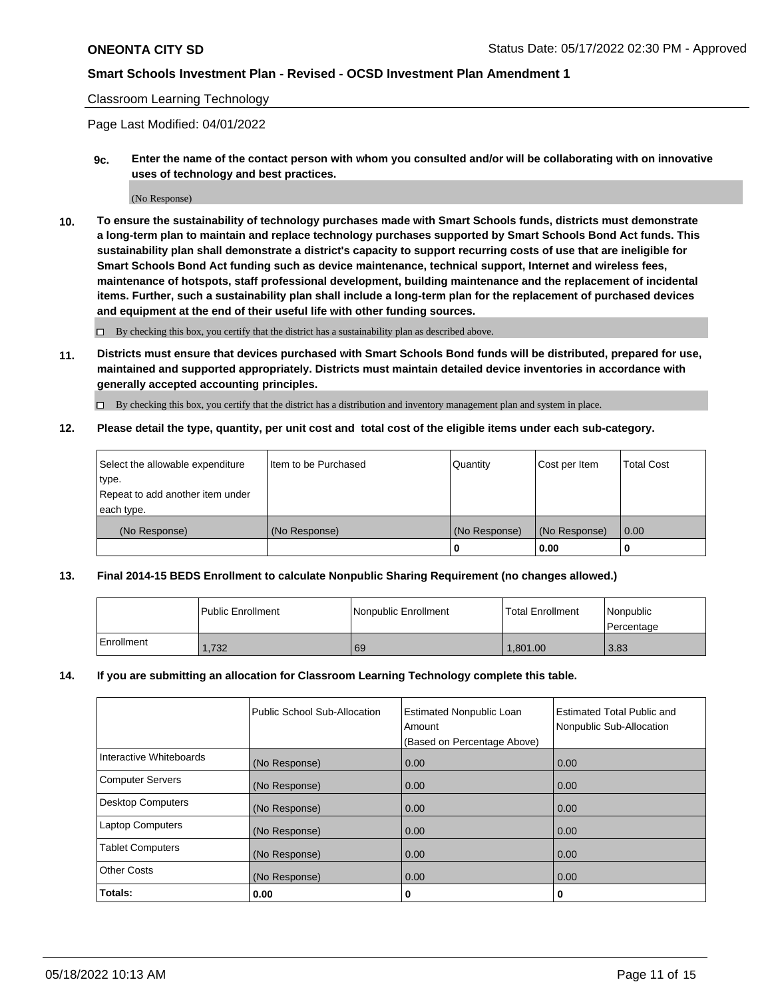### Classroom Learning Technology

Page Last Modified: 04/01/2022

**9c. Enter the name of the contact person with whom you consulted and/or will be collaborating with on innovative uses of technology and best practices.**

(No Response)

**10. To ensure the sustainability of technology purchases made with Smart Schools funds, districts must demonstrate a long-term plan to maintain and replace technology purchases supported by Smart Schools Bond Act funds. This sustainability plan shall demonstrate a district's capacity to support recurring costs of use that are ineligible for Smart Schools Bond Act funding such as device maintenance, technical support, Internet and wireless fees, maintenance of hotspots, staff professional development, building maintenance and the replacement of incidental items. Further, such a sustainability plan shall include a long-term plan for the replacement of purchased devices and equipment at the end of their useful life with other funding sources.**

 $\square$  By checking this box, you certify that the district has a sustainability plan as described above.

**11. Districts must ensure that devices purchased with Smart Schools Bond funds will be distributed, prepared for use, maintained and supported appropriately. Districts must maintain detailed device inventories in accordance with generally accepted accounting principles.**

By checking this box, you certify that the district has a distribution and inventory management plan and system in place.

**12. Please detail the type, quantity, per unit cost and total cost of the eligible items under each sub-category.**

| Select the allowable expenditure | I Item to be Purchased | Quantity      | Cost per Item | Total Cost |
|----------------------------------|------------------------|---------------|---------------|------------|
| type.                            |                        |               |               |            |
| Repeat to add another item under |                        |               |               |            |
| each type.                       |                        |               |               |            |
| (No Response)                    | (No Response)          | (No Response) | (No Response) | 0.00       |
|                                  |                        | u             | 0.00          |            |

### **13. Final 2014-15 BEDS Enrollment to calculate Nonpublic Sharing Requirement (no changes allowed.)**

|            | l Public Enrollment | Nonpublic Enrollment | <b>Total Enrollment</b> | Nonpublic<br>l Percentage |
|------------|---------------------|----------------------|-------------------------|---------------------------|
| Enrollment | 1.732               | 69                   | 1.801.00                | 3.83                      |

### **14. If you are submitting an allocation for Classroom Learning Technology complete this table.**

|                          | Public School Sub-Allocation | <b>Estimated Nonpublic Loan</b><br>Amount | <b>Estimated Total Public and</b><br>Nonpublic Sub-Allocation |
|--------------------------|------------------------------|-------------------------------------------|---------------------------------------------------------------|
|                          |                              | (Based on Percentage Above)               |                                                               |
| Interactive Whiteboards  | (No Response)                | 0.00                                      | 0.00                                                          |
| <b>Computer Servers</b>  | (No Response)                | 0.00                                      | 0.00                                                          |
| <b>Desktop Computers</b> | (No Response)                | 0.00                                      | 0.00                                                          |
| <b>Laptop Computers</b>  | (No Response)                | 0.00                                      | 0.00                                                          |
| <b>Tablet Computers</b>  | (No Response)                | 0.00                                      | 0.00                                                          |
| <b>Other Costs</b>       | (No Response)                | 0.00                                      | 0.00                                                          |
| Totals:                  | 0.00                         | 0                                         | 0                                                             |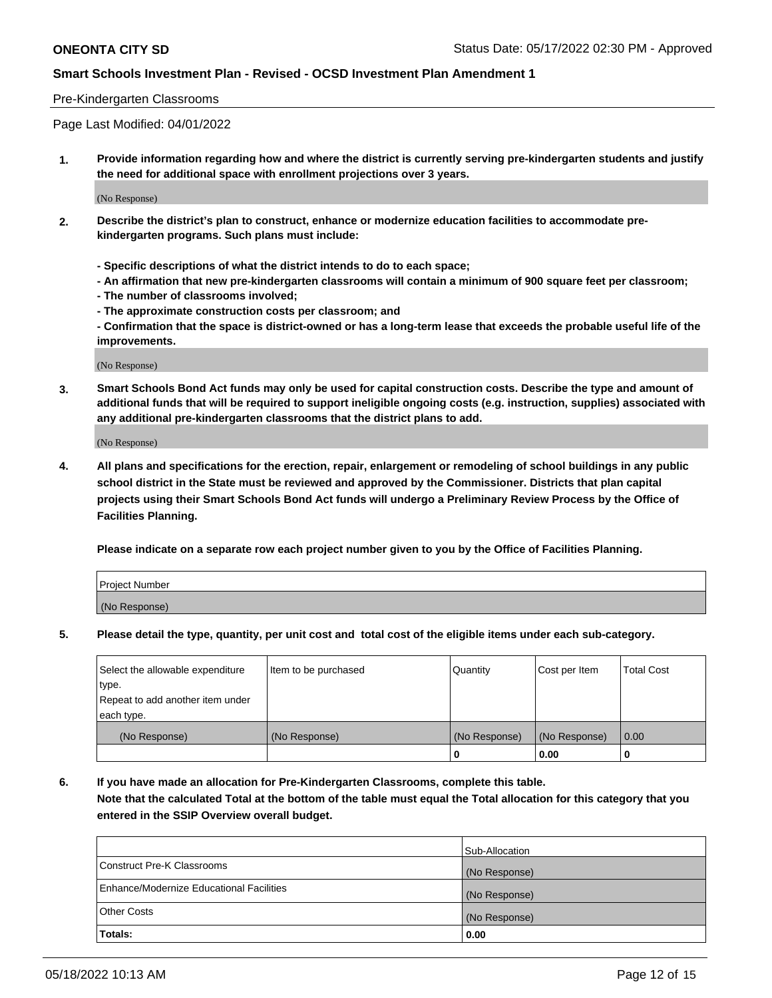### Pre-Kindergarten Classrooms

Page Last Modified: 04/01/2022

**1. Provide information regarding how and where the district is currently serving pre-kindergarten students and justify the need for additional space with enrollment projections over 3 years.**

(No Response)

- **2. Describe the district's plan to construct, enhance or modernize education facilities to accommodate prekindergarten programs. Such plans must include:**
	- **Specific descriptions of what the district intends to do to each space;**
	- **An affirmation that new pre-kindergarten classrooms will contain a minimum of 900 square feet per classroom;**
	- **The number of classrooms involved;**
	- **The approximate construction costs per classroom; and**
	- **Confirmation that the space is district-owned or has a long-term lease that exceeds the probable useful life of the improvements.**

(No Response)

**3. Smart Schools Bond Act funds may only be used for capital construction costs. Describe the type and amount of additional funds that will be required to support ineligible ongoing costs (e.g. instruction, supplies) associated with any additional pre-kindergarten classrooms that the district plans to add.**

(No Response)

**4. All plans and specifications for the erection, repair, enlargement or remodeling of school buildings in any public school district in the State must be reviewed and approved by the Commissioner. Districts that plan capital projects using their Smart Schools Bond Act funds will undergo a Preliminary Review Process by the Office of Facilities Planning.**

**Please indicate on a separate row each project number given to you by the Office of Facilities Planning.**

| Project Number |  |
|----------------|--|
| (No Response)  |  |

**5. Please detail the type, quantity, per unit cost and total cost of the eligible items under each sub-category.**

| Select the allowable expenditure          | Item to be purchased | Quantity      | Cost per Item | <b>Total Cost</b> |
|-------------------------------------------|----------------------|---------------|---------------|-------------------|
| type.<br>Repeat to add another item under |                      |               |               |                   |
| each type.                                |                      |               |               |                   |
| (No Response)                             | (No Response)        | (No Response) | (No Response) | 0.00              |
|                                           |                      | o             | 0.00          |                   |

**6. If you have made an allocation for Pre-Kindergarten Classrooms, complete this table.**

**Note that the calculated Total at the bottom of the table must equal the Total allocation for this category that you entered in the SSIP Overview overall budget.**

|                                          | Sub-Allocation |
|------------------------------------------|----------------|
| Construct Pre-K Classrooms               | (No Response)  |
| Enhance/Modernize Educational Facilities | (No Response)  |
| <b>Other Costs</b>                       | (No Response)  |
| Totals:                                  | 0.00           |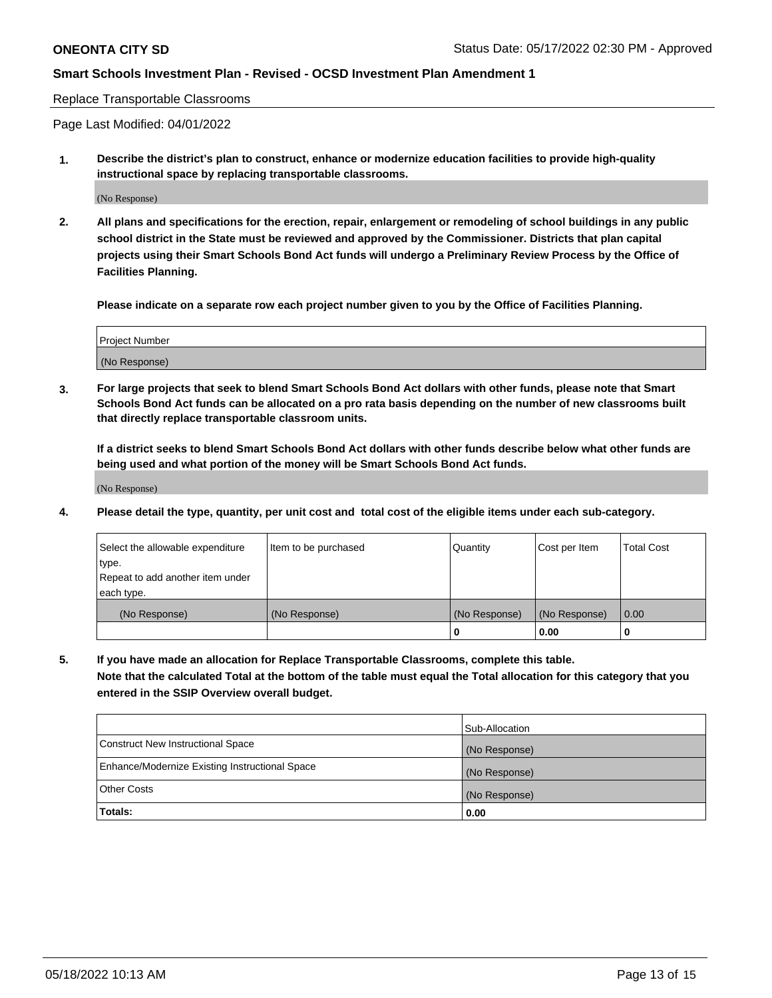#### Replace Transportable Classrooms

Page Last Modified: 04/01/2022

**1. Describe the district's plan to construct, enhance or modernize education facilities to provide high-quality instructional space by replacing transportable classrooms.**

(No Response)

**2. All plans and specifications for the erection, repair, enlargement or remodeling of school buildings in any public school district in the State must be reviewed and approved by the Commissioner. Districts that plan capital projects using their Smart Schools Bond Act funds will undergo a Preliminary Review Process by the Office of Facilities Planning.**

**Please indicate on a separate row each project number given to you by the Office of Facilities Planning.**

| <b>Project Number</b> |  |
|-----------------------|--|
| (No Response)         |  |

**3. For large projects that seek to blend Smart Schools Bond Act dollars with other funds, please note that Smart Schools Bond Act funds can be allocated on a pro rata basis depending on the number of new classrooms built that directly replace transportable classroom units.**

**If a district seeks to blend Smart Schools Bond Act dollars with other funds describe below what other funds are being used and what portion of the money will be Smart Schools Bond Act funds.**

(No Response)

**4. Please detail the type, quantity, per unit cost and total cost of the eligible items under each sub-category.**

| Select the allowable expenditure | Item to be purchased | Quantity      | Cost per Item | <b>Total Cost</b> |
|----------------------------------|----------------------|---------------|---------------|-------------------|
| type.                            |                      |               |               |                   |
| Repeat to add another item under |                      |               |               |                   |
| each type.                       |                      |               |               |                   |
| (No Response)                    | (No Response)        | (No Response) | (No Response) | 0.00              |
|                                  |                      | U             | 0.00          |                   |

**5. If you have made an allocation for Replace Transportable Classrooms, complete this table.**

**Note that the calculated Total at the bottom of the table must equal the Total allocation for this category that you entered in the SSIP Overview overall budget.**

|                                                | Sub-Allocation |
|------------------------------------------------|----------------|
| Construct New Instructional Space              | (No Response)  |
| Enhance/Modernize Existing Instructional Space | (No Response)  |
| <b>Other Costs</b>                             | (No Response)  |
| Totals:                                        | 0.00           |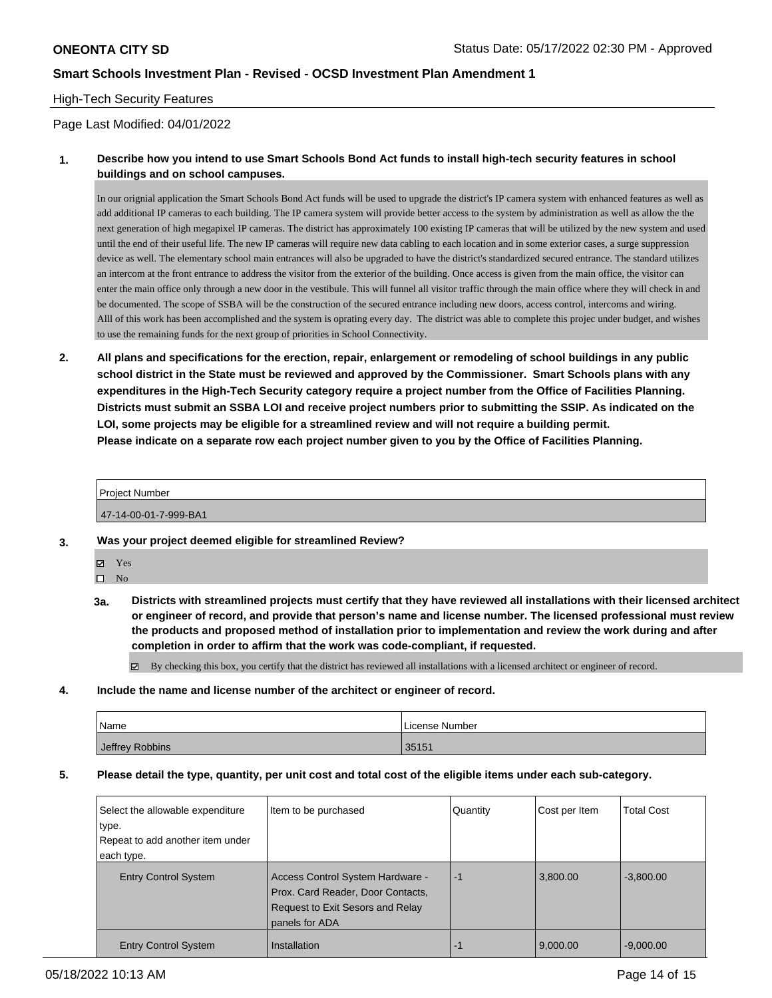## High-Tech Security Features

### Page Last Modified: 04/01/2022

## **1. Describe how you intend to use Smart Schools Bond Act funds to install high-tech security features in school buildings and on school campuses.**

In our orignial application the Smart Schools Bond Act funds will be used to upgrade the district's IP camera system with enhanced features as well as add additional IP cameras to each building. The IP camera system will provide better access to the system by administration as well as allow the the next generation of high megapixel IP cameras. The district has approximately 100 existing IP cameras that will be utilized by the new system and used until the end of their useful life. The new IP cameras will require new data cabling to each location and in some exterior cases, a surge suppression device as well. The elementary school main entrances will also be upgraded to have the district's standardized secured entrance. The standard utilizes an intercom at the front entrance to address the visitor from the exterior of the building. Once access is given from the main office, the visitor can enter the main office only through a new door in the vestibule. This will funnel all visitor traffic through the main office where they will check in and be documented. The scope of SSBA will be the construction of the secured entrance including new doors, access control, intercoms and wiring. Alll of this work has been accomplished and the system is oprating every day. The district was able to complete this projec under budget, and wishes to use the remaining funds for the next group of priorities in School Connectivity.

**2. All plans and specifications for the erection, repair, enlargement or remodeling of school buildings in any public school district in the State must be reviewed and approved by the Commissioner. Smart Schools plans with any expenditures in the High-Tech Security category require a project number from the Office of Facilities Planning. Districts must submit an SSBA LOI and receive project numbers prior to submitting the SSIP. As indicated on the LOI, some projects may be eligible for a streamlined review and will not require a building permit. Please indicate on a separate row each project number given to you by the Office of Facilities Planning.**

#### Project Number

47-14-00-01-7-999-BA1

- **3. Was your project deemed eligible for streamlined Review?**
	- Yes

 $\square$  No

**3a. Districts with streamlined projects must certify that they have reviewed all installations with their licensed architect or engineer of record, and provide that person's name and license number. The licensed professional must review the products and proposed method of installation prior to implementation and review the work during and after completion in order to affirm that the work was code-compliant, if requested.**

By checking this box, you certify that the district has reviewed all installations with a licensed architect or engineer of record.

**4. Include the name and license number of the architect or engineer of record.**

| Name            | License Number |
|-----------------|----------------|
| Jeffrey Robbins | 35151          |

**5. Please detail the type, quantity, per unit cost and total cost of the eligible items under each sub-category.**

| Select the allowable expenditure<br>type.<br>Repeat to add another item under<br>each type. | Item to be purchased                                                                                                        | Quantity | Cost per Item | <b>Total Cost</b> |
|---------------------------------------------------------------------------------------------|-----------------------------------------------------------------------------------------------------------------------------|----------|---------------|-------------------|
| <b>Entry Control System</b>                                                                 | Access Control System Hardware -<br>Prox. Card Reader, Door Contacts,<br>Request to Exit Sesors and Relay<br>panels for ADA | -1       | 3,800.00      | $-3,800.00$       |
| <b>Entry Control System</b>                                                                 | Installation                                                                                                                | -1       | 9,000.00      | $-9.000.00$       |